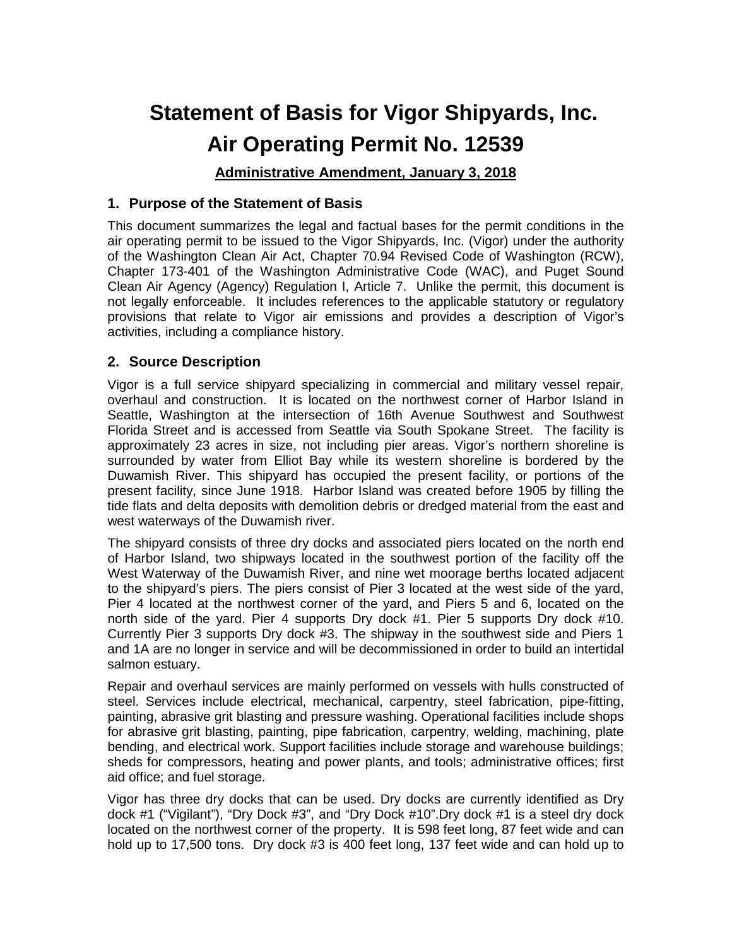# **Statement of Basis for Vigor Shipyards, Inc. Air Operating Permit No. 12539**

# **Administrative Amendment, January 3, 2018**

# **1. Purpose of the Statement of Basis**

This document summarizes the legal and factual bases for the permit conditions in the air operating permit to be issued to the Vigor Shipyards, Inc. (Vigor) under the authority of the Washington Clean Air Act, Chapter 70.94 Revised Code of Washington (RCW), Chapter 173-401 of the Washington Administrative Code (WAC), and Puget Sound Clean Air Agency (Agency) Regulation I, Article 7. Unlike the permit, this document is not legally enforceable. It includes references to the applicable statutory or regulatory provisions that relate to Vigor air emissions and provides a description of Vigor's activities, including a compliance history.

# **2. Source Description**

Vigor is a full service shipyard specializing in commercial and military vessel repair, overhaul and construction. It is located on the northwest corner of Harbor Island in Seattle, Washington at the intersection of 16th Avenue Southwest and Southwest Florida Street and is accessed from Seattle via South Spokane Street. The facility is approximately 23 acres in size, not including pier areas. Vigor's northern shoreline is surrounded by water from Elliot Bay while its western shoreline is bordered by the Duwamish River. This shipyard has occupied the present facility, or portions of the present facility, since June 1918. Harbor Island was created before 1905 by filling the tide flats and delta deposits with demolition debris or dredged material from the east and west waterways of the Duwamish river.

The shipyard consists of three dry docks and associated piers located on the north end of Harbor Island, two shipways located in the southwest portion of the facility off the West Waterway of the Duwamish River, and nine wet moorage berths located adjacent to the shipyard's piers. The piers consist of Pier 3 located at the west side of the yard, Pier 4 located at the northwest corner of the yard, and Piers 5 and 6, located on the north side of the yard. Pier 4 supports Dry dock #1. Pier 5 supports Dry dock #10. Currently Pier 3 supports Dry dock #3. The shipway in the southwest side and Piers 1 and 1A are no longer in service and will be decommissioned in order to build an intertidal salmon estuary.

Repair and overhaul services are mainly performed on vessels with hulls constructed of steel. Services include electrical, mechanical, carpentry, steel fabrication, pipe-fitting, painting, abrasive grit blasting and pressure washing. Operational facilities include shops for abrasive grit blasting, painting, pipe fabrication, carpentry, welding, machining, plate bending, and electrical work. Support facilities include storage and warehouse buildings; sheds for compressors, heating and power plants, and tools; administrative offices; first aid office; and fuel storage.

Vigor has three dry docks that can be used. Dry docks are currently identified as Dry dock #1 ("Vigilant"), "Dry Dock #3", and "Dry Dock #10".Dry dock #1 is a steel dry dock located on the northwest corner of the property. It is 598 feet long, 87 feet wide and can hold up to 17,500 tons. Dry dock #3 is 400 feet long, 137 feet wide and can hold up to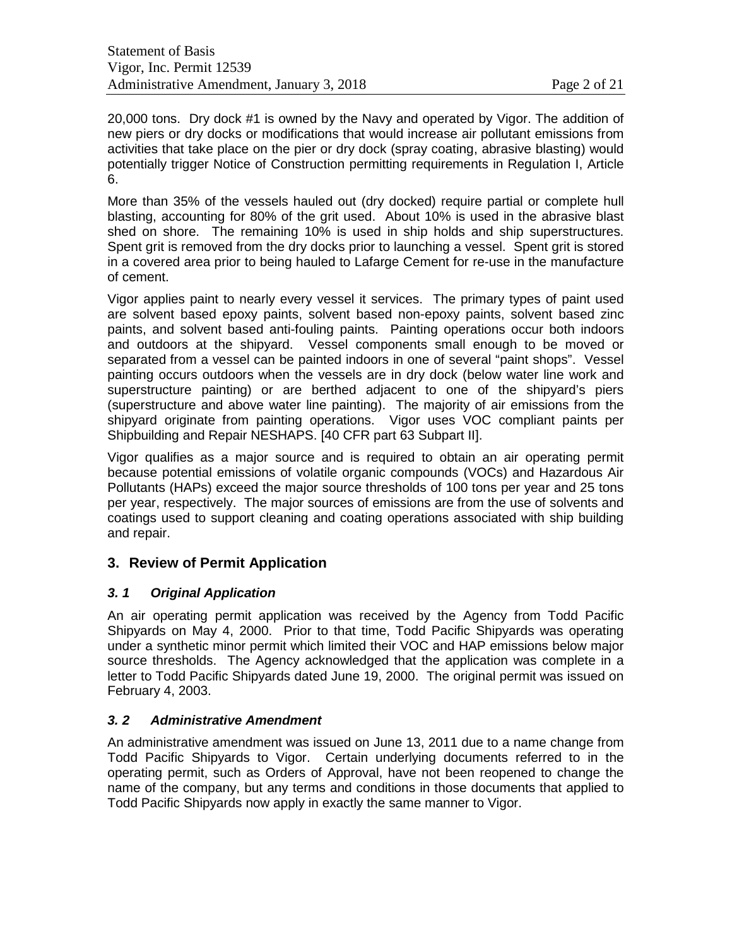20,000 tons. Dry dock #1 is owned by the Navy and operated by Vigor. The addition of new piers or dry docks or modifications that would increase air pollutant emissions from activities that take place on the pier or dry dock (spray coating, abrasive blasting) would potentially trigger Notice of Construction permitting requirements in Regulation I, Article 6.

More than 35% of the vessels hauled out (dry docked) require partial or complete hull blasting, accounting for 80% of the grit used. About 10% is used in the abrasive blast shed on shore. The remaining 10% is used in ship holds and ship superstructures. Spent grit is removed from the dry docks prior to launching a vessel. Spent grit is stored in a covered area prior to being hauled to Lafarge Cement for re-use in the manufacture of cement.

Vigor applies paint to nearly every vessel it services. The primary types of paint used are solvent based epoxy paints, solvent based non-epoxy paints, solvent based zinc paints, and solvent based anti-fouling paints. Painting operations occur both indoors and outdoors at the shipyard. Vessel components small enough to be moved or separated from a vessel can be painted indoors in one of several "paint shops". Vessel painting occurs outdoors when the vessels are in dry dock (below water line work and superstructure painting) or are berthed adjacent to one of the shipyard's piers (superstructure and above water line painting). The majority of air emissions from the shipyard originate from painting operations. Vigor uses VOC compliant paints per Shipbuilding and Repair NESHAPS. [40 CFR part 63 Subpart II].

Vigor qualifies as a major source and is required to obtain an air operating permit because potential emissions of volatile organic compounds (VOCs) and Hazardous Air Pollutants (HAPs) exceed the major source thresholds of 100 tons per year and 25 tons per year, respectively. The major sources of emissions are from the use of solvents and coatings used to support cleaning and coating operations associated with ship building and repair.

# **3. Review of Permit Application**

# *3. 1 Original Application*

An air operating permit application was received by the Agency from Todd Pacific Shipyards on May 4, 2000. Prior to that time, Todd Pacific Shipyards was operating under a synthetic minor permit which limited their VOC and HAP emissions below major source thresholds. The Agency acknowledged that the application was complete in a letter to Todd Pacific Shipyards dated June 19, 2000. The original permit was issued on February 4, 2003.

# *3. 2 Administrative Amendment*

An administrative amendment was issued on June 13, 2011 due to a name change from Todd Pacific Shipyards to Vigor. Certain underlying documents referred to in the operating permit, such as Orders of Approval, have not been reopened to change the name of the company, but any terms and conditions in those documents that applied to Todd Pacific Shipyards now apply in exactly the same manner to Vigor.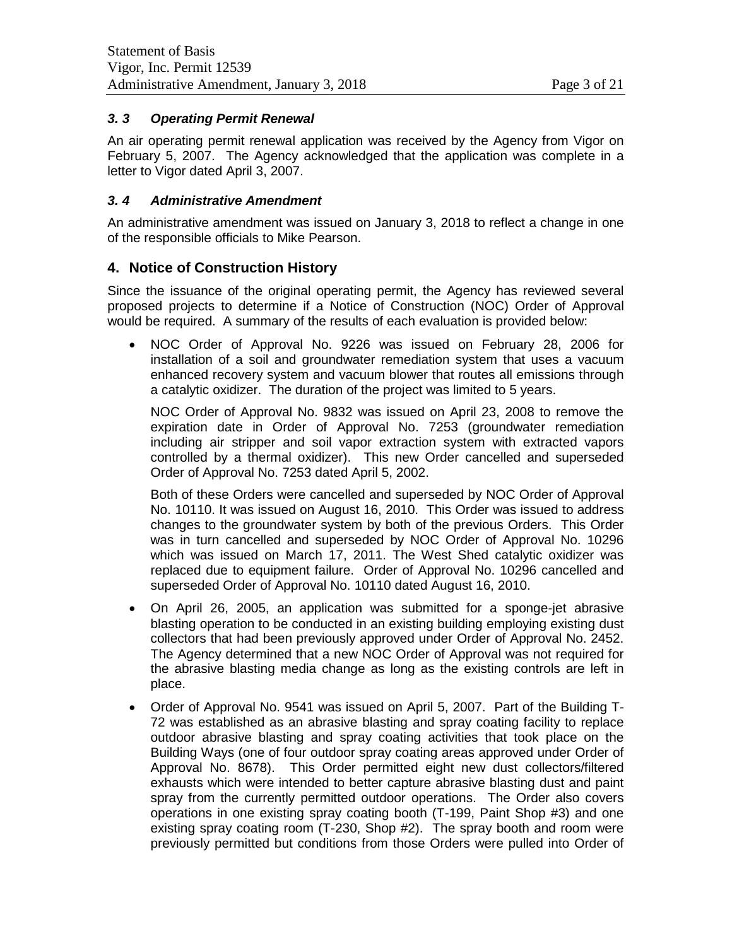# *3. 3 Operating Permit Renewal*

An air operating permit renewal application was received by the Agency from Vigor on February 5, 2007. The Agency acknowledged that the application was complete in a letter to Vigor dated April 3, 2007.

#### *3. 4 Administrative Amendment*

An administrative amendment was issued on January 3, 2018 to reflect a change in one of the responsible officials to Mike Pearson.

# **4. Notice of Construction History**

Since the issuance of the original operating permit, the Agency has reviewed several proposed projects to determine if a Notice of Construction (NOC) Order of Approval would be required. A summary of the results of each evaluation is provided below:

• NOC Order of Approval No. 9226 was issued on February 28, 2006 for installation of a soil and groundwater remediation system that uses a vacuum enhanced recovery system and vacuum blower that routes all emissions through a catalytic oxidizer. The duration of the project was limited to 5 years.

NOC Order of Approval No. 9832 was issued on April 23, 2008 to remove the expiration date in Order of Approval No. 7253 (groundwater remediation including air stripper and soil vapor extraction system with extracted vapors controlled by a thermal oxidizer). This new Order cancelled and superseded Order of Approval No. 7253 dated April 5, 2002.

Both of these Orders were cancelled and superseded by NOC Order of Approval No. 10110. It was issued on August 16, 2010. This Order was issued to address changes to the groundwater system by both of the previous Orders. This Order was in turn cancelled and superseded by NOC Order of Approval No. 10296 which was issued on March 17, 2011. The West Shed catalytic oxidizer was replaced due to equipment failure. Order of Approval No. 10296 cancelled and superseded Order of Approval No. 10110 dated August 16, 2010.

- On April 26, 2005, an application was submitted for a sponge-jet abrasive blasting operation to be conducted in an existing building employing existing dust collectors that had been previously approved under Order of Approval No. 2452. The Agency determined that a new NOC Order of Approval was not required for the abrasive blasting media change as long as the existing controls are left in place.
- Order of Approval No. 9541 was issued on April 5, 2007. Part of the Building T-72 was established as an abrasive blasting and spray coating facility to replace outdoor abrasive blasting and spray coating activities that took place on the Building Ways (one of four outdoor spray coating areas approved under Order of Approval No. 8678). This Order permitted eight new dust collectors/filtered exhausts which were intended to better capture abrasive blasting dust and paint spray from the currently permitted outdoor operations. The Order also covers operations in one existing spray coating booth (T-199, Paint Shop #3) and one existing spray coating room (T-230, Shop #2). The spray booth and room were previously permitted but conditions from those Orders were pulled into Order of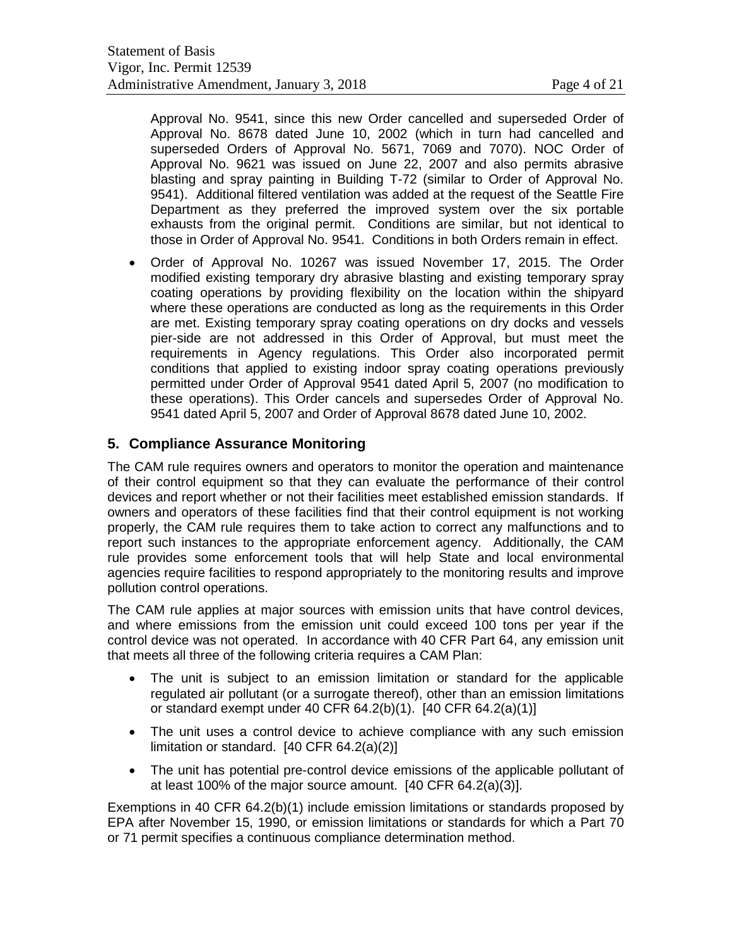Approval No. 9541, since this new Order cancelled and superseded Order of Approval No. 8678 dated June 10, 2002 (which in turn had cancelled and superseded Orders of Approval No. 5671, 7069 and 7070). NOC Order of Approval No. 9621 was issued on June 22, 2007 and also permits abrasive blasting and spray painting in Building T-72 (similar to Order of Approval No. 9541). Additional filtered ventilation was added at the request of the Seattle Fire Department as they preferred the improved system over the six portable exhausts from the original permit. Conditions are similar, but not identical to those in Order of Approval No. 9541. Conditions in both Orders remain in effect.

• Order of Approval No. 10267 was issued November 17, 2015. The Order modified existing temporary dry abrasive blasting and existing temporary spray coating operations by providing flexibility on the location within the shipyard where these operations are conducted as long as the requirements in this Order are met. Existing temporary spray coating operations on dry docks and vessels pier-side are not addressed in this Order of Approval, but must meet the requirements in Agency regulations. This Order also incorporated permit conditions that applied to existing indoor spray coating operations previously permitted under Order of Approval 9541 dated April 5, 2007 (no modification to these operations). This Order cancels and supersedes Order of Approval No. 9541 dated April 5, 2007 and Order of Approval 8678 dated June 10, 2002.

# **5. Compliance Assurance Monitoring**

The CAM rule requires owners and operators to monitor the operation and maintenance of their control equipment so that they can evaluate the performance of their control devices and report whether or not their facilities meet established emission standards. If owners and operators of these facilities find that their control equipment is not working properly, the CAM rule requires them to take action to correct any malfunctions and to report such instances to the appropriate enforcement agency. Additionally, the CAM rule provides some enforcement tools that will help State and local environmental agencies require facilities to respond appropriately to the monitoring results and improve pollution control operations.

The CAM rule applies at major sources with emission units that have control devices, and where emissions from the emission unit could exceed 100 tons per year if the control device was not operated. In accordance with 40 CFR Part 64, any emission unit that meets all three of the following criteria requires a CAM Plan:

- The unit is subject to an emission limitation or standard for the applicable regulated air pollutant (or a surrogate thereof), other than an emission limitations or standard exempt under 40 CFR 64.2(b)(1). [40 CFR 64.2(a)(1)]
- The unit uses a control device to achieve compliance with any such emission limitation or standard. [40 CFR 64.2(a)(2)]
- The unit has potential pre-control device emissions of the applicable pollutant of at least 100% of the major source amount. [40 CFR 64.2(a)(3)].

Exemptions in 40 CFR 64.2(b)(1) include emission limitations or standards proposed by EPA after November 15, 1990, or emission limitations or standards for which a Part 70 or 71 permit specifies a continuous compliance determination method.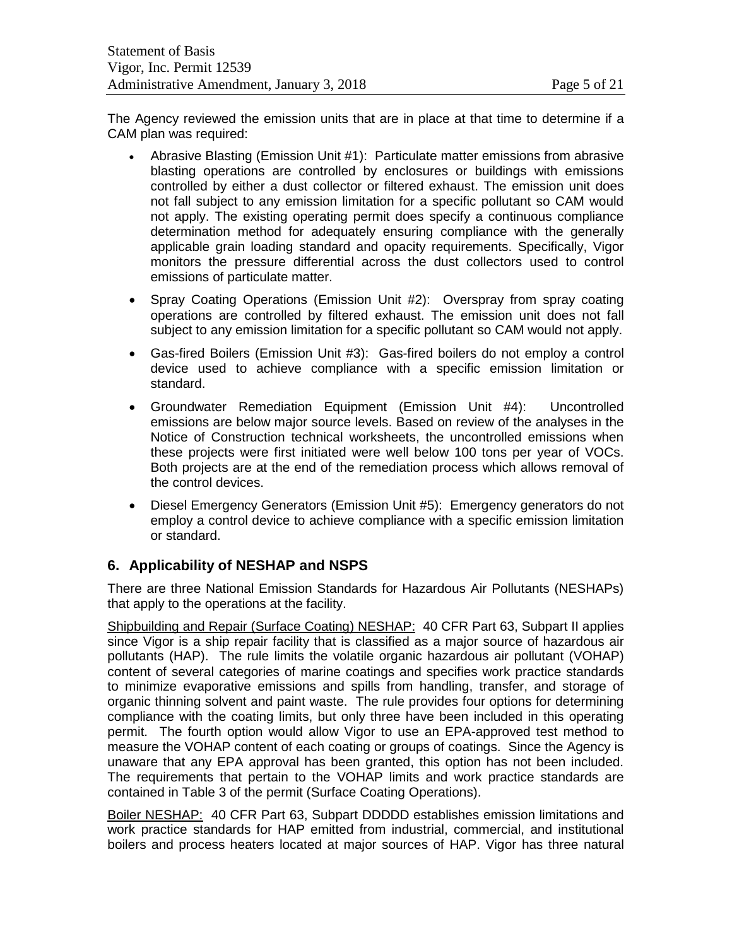The Agency reviewed the emission units that are in place at that time to determine if a CAM plan was required:

- Abrasive Blasting (Emission Unit #1): Particulate matter emissions from abrasive blasting operations are controlled by enclosures or buildings with emissions controlled by either a dust collector or filtered exhaust. The emission unit does not fall subject to any emission limitation for a specific pollutant so CAM would not apply. The existing operating permit does specify a continuous compliance determination method for adequately ensuring compliance with the generally applicable grain loading standard and opacity requirements. Specifically, Vigor monitors the pressure differential across the dust collectors used to control emissions of particulate matter.
- Spray Coating Operations (Emission Unit #2): Overspray from spray coating operations are controlled by filtered exhaust. The emission unit does not fall subject to any emission limitation for a specific pollutant so CAM would not apply.
- Gas-fired Boilers (Emission Unit #3): Gas-fired boilers do not employ a control device used to achieve compliance with a specific emission limitation or standard.
- Groundwater Remediation Equipment (Emission Unit #4): Uncontrolled emissions are below major source levels. Based on review of the analyses in the Notice of Construction technical worksheets, the uncontrolled emissions when these projects were first initiated were well below 100 tons per year of VOCs. Both projects are at the end of the remediation process which allows removal of the control devices.
- Diesel Emergency Generators (Emission Unit #5): Emergency generators do not employ a control device to achieve compliance with a specific emission limitation or standard.

# **6. Applicability of NESHAP and NSPS**

There are three National Emission Standards for Hazardous Air Pollutants (NESHAPs) that apply to the operations at the facility.

Shipbuilding and Repair (Surface Coating) NESHAP: 40 CFR Part 63, Subpart II applies since Vigor is a ship repair facility that is classified as a major source of hazardous air pollutants (HAP). The rule limits the volatile organic hazardous air pollutant (VOHAP) content of several categories of marine coatings and specifies work practice standards to minimize evaporative emissions and spills from handling, transfer, and storage of organic thinning solvent and paint waste. The rule provides four options for determining compliance with the coating limits, but only three have been included in this operating permit. The fourth option would allow Vigor to use an EPA-approved test method to measure the VOHAP content of each coating or groups of coatings. Since the Agency is unaware that any EPA approval has been granted, this option has not been included. The requirements that pertain to the VOHAP limits and work practice standards are contained in Table 3 of the permit (Surface Coating Operations).

Boiler NESHAP: 40 CFR Part 63, Subpart DDDDD establishes emission limitations and work practice standards for HAP emitted from industrial, commercial, and institutional boilers and process heaters located at major sources of HAP. Vigor has three natural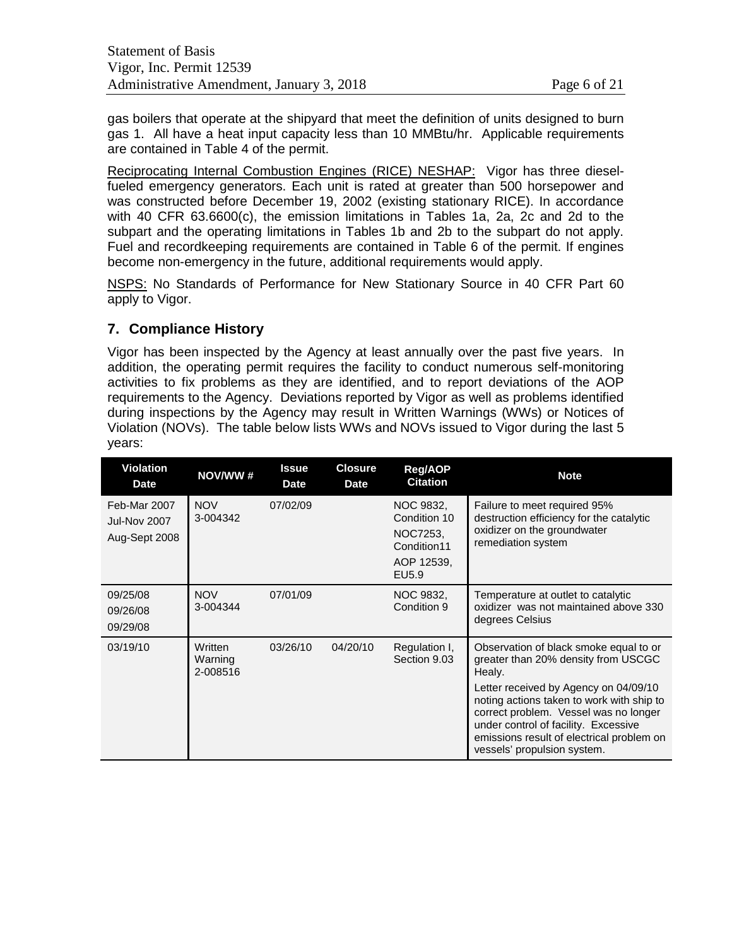gas boilers that operate at the shipyard that meet the definition of units designed to burn gas 1. All have a heat input capacity less than 10 MMBtu/hr. Applicable requirements are contained in Table 4 of the permit.

Reciprocating Internal Combustion Engines (RICE) NESHAP: Vigor has three dieselfueled emergency generators. Each unit is rated at greater than 500 horsepower and was constructed before December 19, 2002 (existing stationary RICE). In accordance with 40 CFR 63.6600(c), the emission limitations in Tables 1a, 2a, 2c and 2d to the subpart and the operating limitations in Tables 1b and 2b to the subpart do not apply. Fuel and recordkeeping requirements are contained in Table 6 of the permit. If engines become non-emergency in the future, additional requirements would apply.

NSPS: No Standards of Performance for New Stationary Source in 40 CFR Part 60 apply to Vigor.

# **7. Compliance History**

Vigor has been inspected by the Agency at least annually over the past five years. In addition, the operating permit requires the facility to conduct numerous self-monitoring activities to fix problems as they are identified, and to report deviations of the AOP requirements to the Agency. Deviations reported by Vigor as well as problems identified during inspections by the Agency may result in Written Warnings (WWs) or Notices of Violation (NOVs). The table below lists WWs and NOVs issued to Vigor during the last 5 years:

| <b>Violation</b><br><b>Date</b>                      | NOV/WW#                        | <b>Issue</b><br><b>Date</b> | <b>Closure</b><br><b>Date</b> | <b>Reg/AOP</b><br><b>Citation</b>                                           | <b>Note</b>                                                                                                                                                                                                                                                                                                                                |
|------------------------------------------------------|--------------------------------|-----------------------------|-------------------------------|-----------------------------------------------------------------------------|--------------------------------------------------------------------------------------------------------------------------------------------------------------------------------------------------------------------------------------------------------------------------------------------------------------------------------------------|
| Feb-Mar 2007<br><b>Jul-Nov 2007</b><br>Aug-Sept 2008 | <b>NOV</b><br>3-004342         | 07/02/09                    |                               | NOC 9832,<br>Condition 10<br>NOC7253.<br>Condition11<br>AOP 12539,<br>EU5.9 | Failure to meet required 95%<br>destruction efficiency for the catalytic<br>oxidizer on the groundwater<br>remediation system                                                                                                                                                                                                              |
| 09/25/08<br>09/26/08<br>09/29/08                     | <b>NOV</b><br>3-004344         | 07/01/09                    |                               | NOC 9832,<br>Condition 9                                                    | Temperature at outlet to catalytic<br>oxidizer was not maintained above 330<br>degrees Celsius                                                                                                                                                                                                                                             |
| 03/19/10                                             | Written<br>Warning<br>2-008516 | 03/26/10                    | 04/20/10                      | Regulation I,<br>Section 9.03                                               | Observation of black smoke equal to or<br>greater than 20% density from USCGC<br>Healy.<br>Letter received by Agency on 04/09/10<br>noting actions taken to work with ship to<br>correct problem. Vessel was no longer<br>under control of facility. Excessive<br>emissions result of electrical problem on<br>vessels' propulsion system. |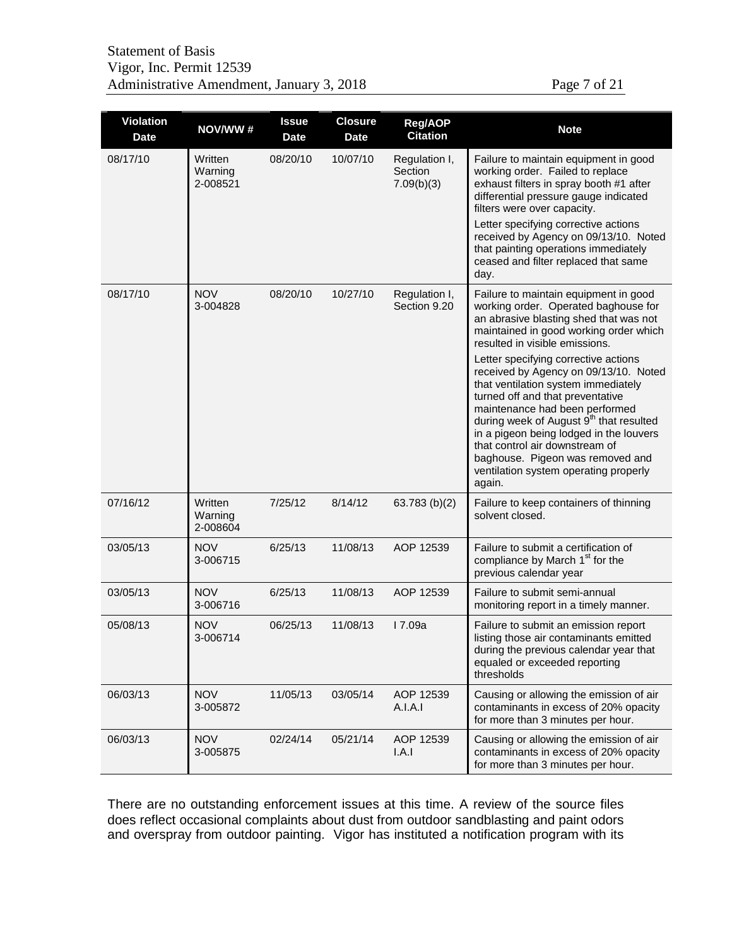| Page 7 of 21 |  |
|--------------|--|
|--------------|--|

| <b>Violation</b><br><b>Date</b> | NOV/WW#                        | <b>Issue</b><br><b>Date</b> | <b>Closure</b><br><b>Date</b> | <b>Reg/AOP</b><br><b>Citation</b>      | <b>Note</b>                                                                                                                                                                                                                                                                                                                                                                                                           |
|---------------------------------|--------------------------------|-----------------------------|-------------------------------|----------------------------------------|-----------------------------------------------------------------------------------------------------------------------------------------------------------------------------------------------------------------------------------------------------------------------------------------------------------------------------------------------------------------------------------------------------------------------|
| 08/17/10                        | Written<br>Warning<br>2-008521 | 08/20/10                    | 10/07/10                      | Regulation I,<br>Section<br>7.09(b)(3) | Failure to maintain equipment in good<br>working order. Failed to replace<br>exhaust filters in spray booth #1 after<br>differential pressure gauge indicated<br>filters were over capacity.<br>Letter specifying corrective actions                                                                                                                                                                                  |
|                                 |                                |                             |                               |                                        | received by Agency on 09/13/10. Noted<br>that painting operations immediately<br>ceased and filter replaced that same<br>day.                                                                                                                                                                                                                                                                                         |
| 08/17/10                        | <b>NOV</b><br>3-004828         | 08/20/10                    | 10/27/10                      | Regulation I,<br>Section 9.20          | Failure to maintain equipment in good<br>working order. Operated baghouse for<br>an abrasive blasting shed that was not<br>maintained in good working order which<br>resulted in visible emissions.                                                                                                                                                                                                                   |
|                                 |                                |                             |                               |                                        | Letter specifying corrective actions<br>received by Agency on 09/13/10. Noted<br>that ventilation system immediately<br>turned off and that preventative<br>maintenance had been performed<br>during week of August 9 <sup>th</sup> that resulted<br>in a pigeon being lodged in the louvers<br>that control air downstream of<br>baghouse. Pigeon was removed and<br>ventilation system operating properly<br>again. |
| 07/16/12                        | Written<br>Warning<br>2-008604 | 7/25/12                     | 8/14/12                       | 63.783 $(b)(2)$                        | Failure to keep containers of thinning<br>solvent closed.                                                                                                                                                                                                                                                                                                                                                             |
| 03/05/13                        | <b>NOV</b><br>3-006715         | 6/25/13                     | 11/08/13                      | AOP 12539                              | Failure to submit a certification of<br>compliance by March 1 <sup>st</sup> for the<br>previous calendar year                                                                                                                                                                                                                                                                                                         |
| 03/05/13                        | <b>NOV</b><br>3-006716         | 6/25/13                     | 11/08/13                      | AOP 12539                              | Failure to submit semi-annual<br>monitoring report in a timely manner.                                                                                                                                                                                                                                                                                                                                                |
| 05/08/13                        | <b>NOV</b><br>3-006714         | 06/25/13                    | 11/08/13                      | I 7.09a                                | Failure to submit an emission report<br>listing those air contaminants emitted<br>during the previous calendar year that<br>equaled or exceeded reporting<br>thresholds                                                                                                                                                                                                                                               |
| 06/03/13                        | <b>NOV</b><br>3-005872         | 11/05/13                    | 03/05/14                      | AOP 12539<br>A.I.A.I                   | Causing or allowing the emission of air<br>contaminants in excess of 20% opacity<br>for more than 3 minutes per hour.                                                                                                                                                                                                                                                                                                 |
| 06/03/13                        | <b>NOV</b><br>3-005875         | 02/24/14                    | 05/21/14                      | AOP 12539<br>I.A.1                     | Causing or allowing the emission of air<br>contaminants in excess of 20% opacity<br>for more than 3 minutes per hour.                                                                                                                                                                                                                                                                                                 |

There are no outstanding enforcement issues at this time. A review of the source files does reflect occasional complaints about dust from outdoor sandblasting and paint odors and overspray from outdoor painting. Vigor has instituted a notification program with its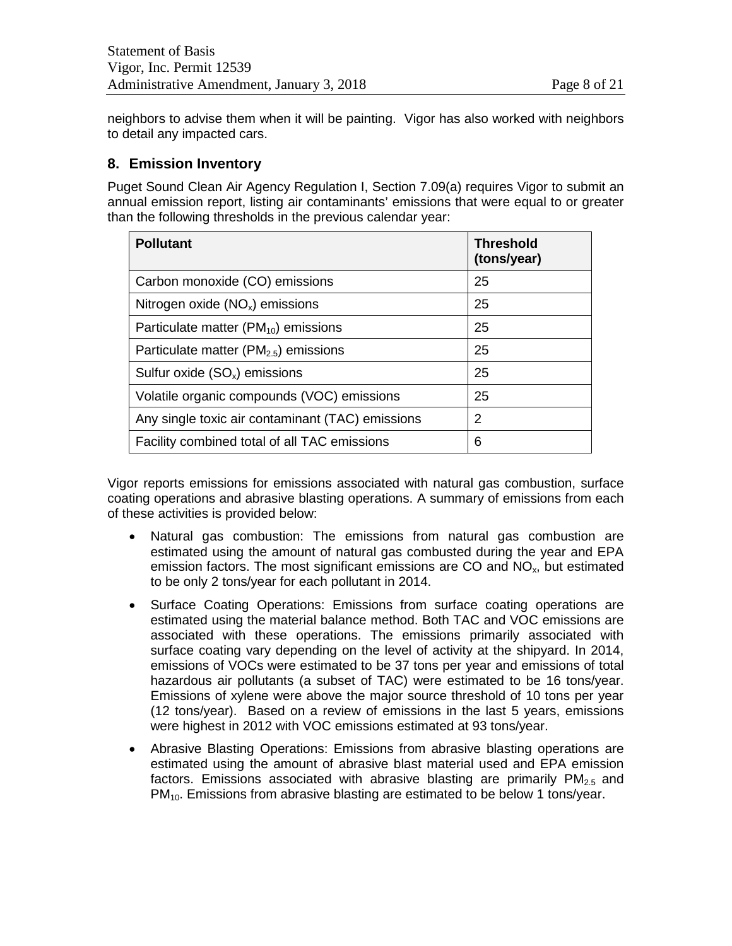neighbors to advise them when it will be painting. Vigor has also worked with neighbors to detail any impacted cars.

# **8. Emission Inventory**

Puget Sound Clean Air Agency Regulation I, Section 7.09(a) requires Vigor to submit an annual emission report, listing air contaminants' emissions that were equal to or greater than the following thresholds in the previous calendar year:

| <b>Pollutant</b>                                 | <b>Threshold</b><br>(tons/year) |
|--------------------------------------------------|---------------------------------|
| Carbon monoxide (CO) emissions                   | 25                              |
| Nitrogen oxide $(NO_x)$ emissions                | 25                              |
| Particulate matter $(PM_{10})$ emissions         | 25                              |
| Particulate matter ( $PM2.5$ ) emissions         | 25                              |
| Sulfur oxide $(SO_x)$ emissions                  | 25                              |
| Volatile organic compounds (VOC) emissions       | 25                              |
| Any single toxic air contaminant (TAC) emissions | 2                               |
| Facility combined total of all TAC emissions     | 6                               |

Vigor reports emissions for emissions associated with natural gas combustion, surface coating operations and abrasive blasting operations. A summary of emissions from each of these activities is provided below:

- Natural gas combustion: The emissions from natural gas combustion are estimated using the amount of natural gas combusted during the year and EPA emission factors. The most significant emissions are  $CO$  and  $NO<sub>x</sub>$ , but estimated to be only 2 tons/year for each pollutant in 2014.
- Surface Coating Operations: Emissions from surface coating operations are estimated using the material balance method. Both TAC and VOC emissions are associated with these operations. The emissions primarily associated with surface coating vary depending on the level of activity at the shipyard. In 2014, emissions of VOCs were estimated to be 37 tons per year and emissions of total hazardous air pollutants (a subset of TAC) were estimated to be 16 tons/year. Emissions of xylene were above the major source threshold of 10 tons per year (12 tons/year). Based on a review of emissions in the last 5 years, emissions were highest in 2012 with VOC emissions estimated at 93 tons/year.
- Abrasive Blasting Operations: Emissions from abrasive blasting operations are estimated using the amount of abrasive blast material used and EPA emission factors. Emissions associated with abrasive blasting are primarily  $PM_{2.5}$  and  $PM<sub>10</sub>$ . Emissions from abrasive blasting are estimated to be below 1 tons/year.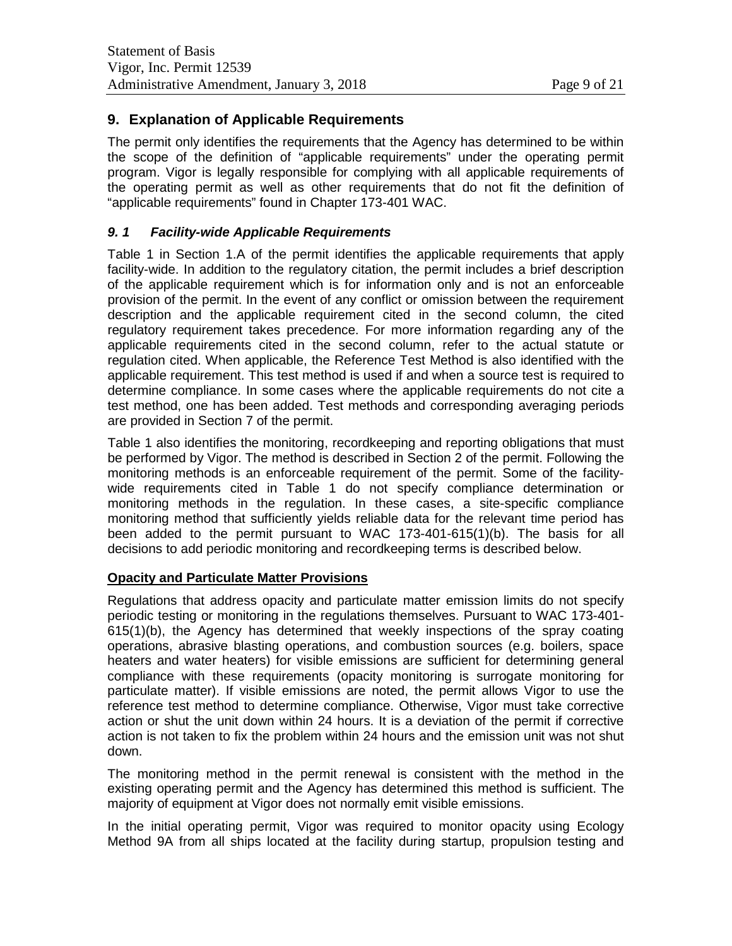# **9. Explanation of Applicable Requirements**

The permit only identifies the requirements that the Agency has determined to be within the scope of the definition of "applicable requirements" under the operating permit program. Vigor is legally responsible for complying with all applicable requirements of the operating permit as well as other requirements that do not fit the definition of "applicable requirements" found in Chapter 173-401 WAC.

#### *9. 1 Facility-wide Applicable Requirements*

Table 1 in Section 1.A of the permit identifies the applicable requirements that apply facility-wide. In addition to the regulatory citation, the permit includes a brief description of the applicable requirement which is for information only and is not an enforceable provision of the permit. In the event of any conflict or omission between the requirement description and the applicable requirement cited in the second column, the cited regulatory requirement takes precedence. For more information regarding any of the applicable requirements cited in the second column, refer to the actual statute or regulation cited. When applicable, the Reference Test Method is also identified with the applicable requirement. This test method is used if and when a source test is required to determine compliance. In some cases where the applicable requirements do not cite a test method, one has been added. Test methods and corresponding averaging periods are provided in Section 7 of the permit.

Table 1 also identifies the monitoring, recordkeeping and reporting obligations that must be performed by Vigor. The method is described in Section 2 of the permit. Following the monitoring methods is an enforceable requirement of the permit. Some of the facilitywide requirements cited in Table 1 do not specify compliance determination or monitoring methods in the regulation. In these cases, a site-specific compliance monitoring method that sufficiently yields reliable data for the relevant time period has been added to the permit pursuant to WAC 173-401-615(1)(b). The basis for all decisions to add periodic monitoring and recordkeeping terms is described below.

#### **Opacity and Particulate Matter Provisions**

Regulations that address opacity and particulate matter emission limits do not specify periodic testing or monitoring in the regulations themselves. Pursuant to WAC 173-401- 615(1)(b), the Agency has determined that weekly inspections of the spray coating operations, abrasive blasting operations, and combustion sources (e.g. boilers, space heaters and water heaters) for visible emissions are sufficient for determining general compliance with these requirements (opacity monitoring is surrogate monitoring for particulate matter). If visible emissions are noted, the permit allows Vigor to use the reference test method to determine compliance. Otherwise, Vigor must take corrective action or shut the unit down within 24 hours. It is a deviation of the permit if corrective action is not taken to fix the problem within 24 hours and the emission unit was not shut down.

The monitoring method in the permit renewal is consistent with the method in the existing operating permit and the Agency has determined this method is sufficient. The majority of equipment at Vigor does not normally emit visible emissions.

In the initial operating permit, Vigor was required to monitor opacity using Ecology Method 9A from all ships located at the facility during startup, propulsion testing and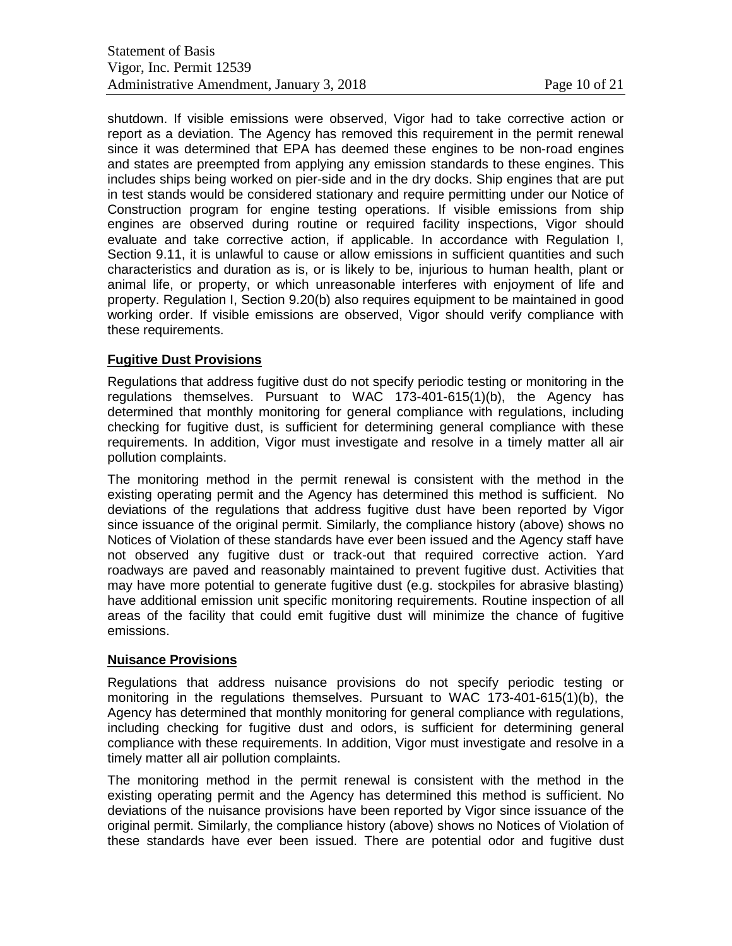shutdown. If visible emissions were observed, Vigor had to take corrective action or report as a deviation. The Agency has removed this requirement in the permit renewal since it was determined that EPA has deemed these engines to be non-road engines and states are preempted from applying any emission standards to these engines. This includes ships being worked on pier-side and in the dry docks. Ship engines that are put in test stands would be considered stationary and require permitting under our Notice of Construction program for engine testing operations. If visible emissions from ship engines are observed during routine or required facility inspections, Vigor should evaluate and take corrective action, if applicable. In accordance with Regulation I, Section 9.11, it is unlawful to cause or allow emissions in sufficient quantities and such characteristics and duration as is, or is likely to be, injurious to human health, plant or animal life, or property, or which unreasonable interferes with enjoyment of life and property. Regulation I, Section 9.20(b) also requires equipment to be maintained in good working order. If visible emissions are observed, Vigor should verify compliance with these requirements.

#### **Fugitive Dust Provisions**

Regulations that address fugitive dust do not specify periodic testing or monitoring in the regulations themselves. Pursuant to WAC 173-401-615(1)(b), the Agency has determined that monthly monitoring for general compliance with regulations, including checking for fugitive dust, is sufficient for determining general compliance with these requirements. In addition, Vigor must investigate and resolve in a timely matter all air pollution complaints.

The monitoring method in the permit renewal is consistent with the method in the existing operating permit and the Agency has determined this method is sufficient. No deviations of the regulations that address fugitive dust have been reported by Vigor since issuance of the original permit. Similarly, the compliance history (above) shows no Notices of Violation of these standards have ever been issued and the Agency staff have not observed any fugitive dust or track-out that required corrective action. Yard roadways are paved and reasonably maintained to prevent fugitive dust. Activities that may have more potential to generate fugitive dust (e.g. stockpiles for abrasive blasting) have additional emission unit specific monitoring requirements. Routine inspection of all areas of the facility that could emit fugitive dust will minimize the chance of fugitive emissions.

#### **Nuisance Provisions**

Regulations that address nuisance provisions do not specify periodic testing or monitoring in the regulations themselves. Pursuant to WAC 173-401-615(1)(b), the Agency has determined that monthly monitoring for general compliance with regulations, including checking for fugitive dust and odors, is sufficient for determining general compliance with these requirements. In addition, Vigor must investigate and resolve in a timely matter all air pollution complaints.

The monitoring method in the permit renewal is consistent with the method in the existing operating permit and the Agency has determined this method is sufficient. No deviations of the nuisance provisions have been reported by Vigor since issuance of the original permit. Similarly, the compliance history (above) shows no Notices of Violation of these standards have ever been issued. There are potential odor and fugitive dust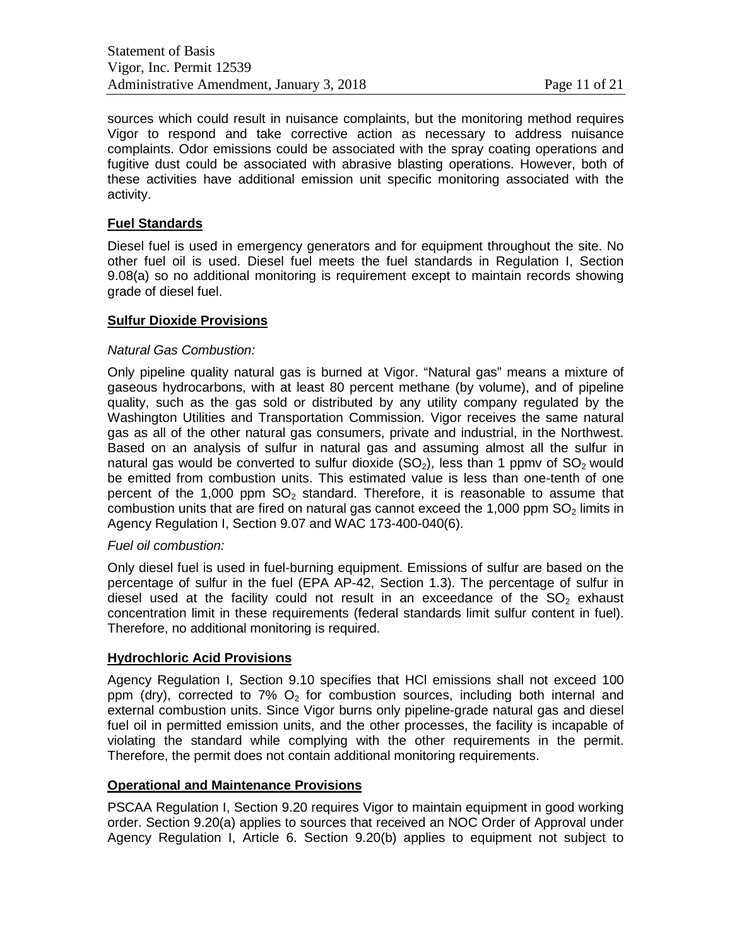sources which could result in nuisance complaints, but the monitoring method requires Vigor to respond and take corrective action as necessary to address nuisance complaints. Odor emissions could be associated with the spray coating operations and fugitive dust could be associated with abrasive blasting operations. However, both of these activities have additional emission unit specific monitoring associated with the activity.

#### **Fuel Standards**

Diesel fuel is used in emergency generators and for equipment throughout the site. No other fuel oil is used. Diesel fuel meets the fuel standards in Regulation I, Section 9.08(a) so no additional monitoring is requirement except to maintain records showing grade of diesel fuel.

# **Sulfur Dioxide Provisions**

#### *Natural Gas Combustion:*

Only pipeline quality natural gas is burned at Vigor. "Natural gas" means a mixture of gaseous hydrocarbons, with at least 80 percent methane (by volume), and of pipeline quality, such as the gas sold or distributed by any utility company regulated by the Washington Utilities and Transportation Commission. Vigor receives the same natural gas as all of the other natural gas consumers, private and industrial, in the Northwest. Based on an analysis of sulfur in natural gas and assuming almost all the sulfur in natural gas would be converted to sulfur dioxide  $(SO<sub>2</sub>)$ , less than 1 ppmv of  $SO<sub>2</sub>$  would be emitted from combustion units. This estimated value is less than one-tenth of one percent of the 1,000 ppm  $SO<sub>2</sub>$  standard. Therefore, it is reasonable to assume that combustion units that are fired on natural gas cannot exceed the 1,000 ppm  $SO<sub>2</sub>$  limits in Agency Regulation I, Section 9.07 and WAC 173-400-040(6).

#### *Fuel oil combustion:*

Only diesel fuel is used in fuel-burning equipment. Emissions of sulfur are based on the percentage of sulfur in the fuel (EPA AP-42, Section 1.3). The percentage of sulfur in diesel used at the facility could not result in an exceedance of the  $SO<sub>2</sub>$  exhaust concentration limit in these requirements (federal standards limit sulfur content in fuel). Therefore, no additional monitoring is required.

#### **Hydrochloric Acid Provisions**

Agency Regulation I, Section 9.10 specifies that HCl emissions shall not exceed 100 ppm (dry), corrected to 7%  $O_2$  for combustion sources, including both internal and external combustion units. Since Vigor burns only pipeline-grade natural gas and diesel fuel oil in permitted emission units, and the other processes, the facility is incapable of violating the standard while complying with the other requirements in the permit. Therefore, the permit does not contain additional monitoring requirements.

#### **Operational and Maintenance Provisions**

PSCAA Regulation I, Section 9.20 requires Vigor to maintain equipment in good working order. Section 9.20(a) applies to sources that received an NOC Order of Approval under Agency Regulation I, Article 6. Section 9.20(b) applies to equipment not subject to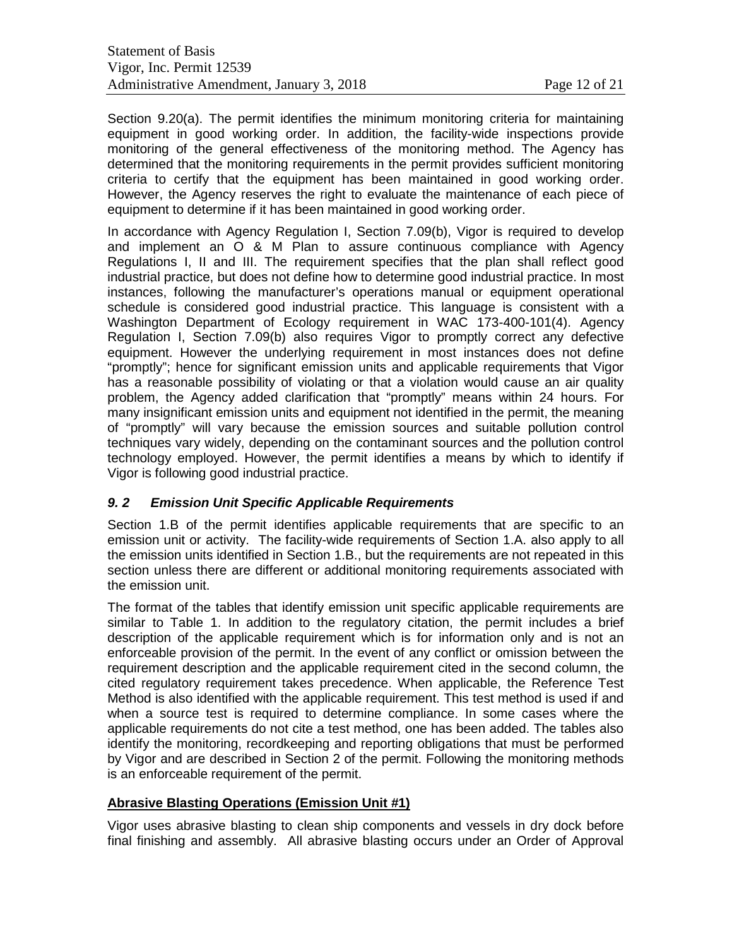Section 9.20(a). The permit identifies the minimum monitoring criteria for maintaining equipment in good working order. In addition, the facility-wide inspections provide monitoring of the general effectiveness of the monitoring method. The Agency has determined that the monitoring requirements in the permit provides sufficient monitoring criteria to certify that the equipment has been maintained in good working order. However, the Agency reserves the right to evaluate the maintenance of each piece of equipment to determine if it has been maintained in good working order.

In accordance with Agency Regulation I, Section 7.09(b), Vigor is required to develop and implement an O & M Plan to assure continuous compliance with Agency Regulations I, II and III. The requirement specifies that the plan shall reflect good industrial practice, but does not define how to determine good industrial practice. In most instances, following the manufacturer's operations manual or equipment operational schedule is considered good industrial practice. This language is consistent with a Washington Department of Ecology requirement in WAC 173-400-101(4). Agency Regulation I, Section 7.09(b) also requires Vigor to promptly correct any defective equipment. However the underlying requirement in most instances does not define "promptly"; hence for significant emission units and applicable requirements that Vigor has a reasonable possibility of violating or that a violation would cause an air quality problem, the Agency added clarification that "promptly" means within 24 hours. For many insignificant emission units and equipment not identified in the permit, the meaning of "promptly" will vary because the emission sources and suitable pollution control techniques vary widely, depending on the contaminant sources and the pollution control technology employed. However, the permit identifies a means by which to identify if Vigor is following good industrial practice.

#### *9. 2 Emission Unit Specific Applicable Requirements*

Section 1.B of the permit identifies applicable requirements that are specific to an emission unit or activity. The facility-wide requirements of Section 1.A. also apply to all the emission units identified in Section 1.B., but the requirements are not repeated in this section unless there are different or additional monitoring requirements associated with the emission unit.

The format of the tables that identify emission unit specific applicable requirements are similar to Table 1. In addition to the regulatory citation, the permit includes a brief description of the applicable requirement which is for information only and is not an enforceable provision of the permit. In the event of any conflict or omission between the requirement description and the applicable requirement cited in the second column, the cited regulatory requirement takes precedence. When applicable, the Reference Test Method is also identified with the applicable requirement. This test method is used if and when a source test is required to determine compliance. In some cases where the applicable requirements do not cite a test method, one has been added. The tables also identify the monitoring, recordkeeping and reporting obligations that must be performed by Vigor and are described in Section 2 of the permit. Following the monitoring methods is an enforceable requirement of the permit.

#### **Abrasive Blasting Operations (Emission Unit #1)**

Vigor uses abrasive blasting to clean ship components and vessels in dry dock before final finishing and assembly. All abrasive blasting occurs under an Order of Approval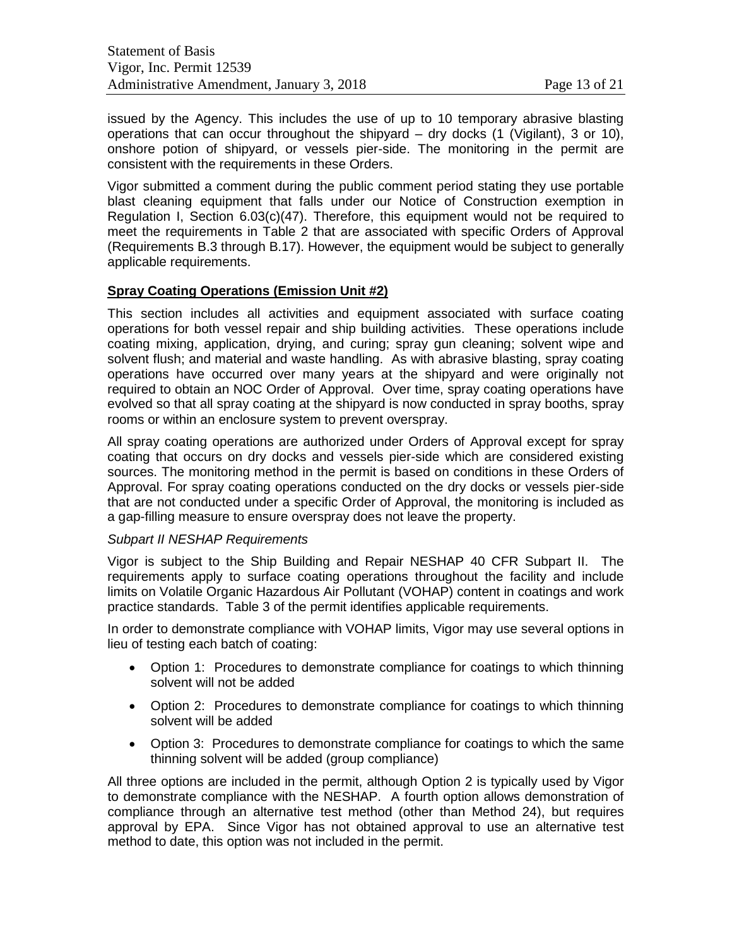issued by the Agency. This includes the use of up to 10 temporary abrasive blasting operations that can occur throughout the shipyard – dry docks (1 (Vigilant), 3 or 10), onshore potion of shipyard, or vessels pier-side. The monitoring in the permit are consistent with the requirements in these Orders.

Vigor submitted a comment during the public comment period stating they use portable blast cleaning equipment that falls under our Notice of Construction exemption in Regulation I, Section 6.03(c)(47). Therefore, this equipment would not be required to meet the requirements in Table 2 that are associated with specific Orders of Approval (Requirements B.3 through B.17). However, the equipment would be subject to generally applicable requirements.

#### **Spray Coating Operations (Emission Unit #2)**

This section includes all activities and equipment associated with surface coating operations for both vessel repair and ship building activities. These operations include coating mixing, application, drying, and curing; spray gun cleaning; solvent wipe and solvent flush; and material and waste handling. As with abrasive blasting, spray coating operations have occurred over many years at the shipyard and were originally not required to obtain an NOC Order of Approval. Over time, spray coating operations have evolved so that all spray coating at the shipyard is now conducted in spray booths, spray rooms or within an enclosure system to prevent overspray.

All spray coating operations are authorized under Orders of Approval except for spray coating that occurs on dry docks and vessels pier-side which are considered existing sources. The monitoring method in the permit is based on conditions in these Orders of Approval. For spray coating operations conducted on the dry docks or vessels pier-side that are not conducted under a specific Order of Approval, the monitoring is included as a gap-filling measure to ensure overspray does not leave the property.

#### *Subpart II NESHAP Requirements*

Vigor is subject to the Ship Building and Repair NESHAP 40 CFR Subpart II. The requirements apply to surface coating operations throughout the facility and include limits on Volatile Organic Hazardous Air Pollutant (VOHAP) content in coatings and work practice standards. Table 3 of the permit identifies applicable requirements.

In order to demonstrate compliance with VOHAP limits, Vigor may use several options in lieu of testing each batch of coating:

- Option 1: Procedures to demonstrate compliance for coatings to which thinning solvent will not be added
- Option 2: Procedures to demonstrate compliance for coatings to which thinning solvent will be added
- Option 3: Procedures to demonstrate compliance for coatings to which the same thinning solvent will be added (group compliance)

All three options are included in the permit, although Option 2 is typically used by Vigor to demonstrate compliance with the NESHAP. A fourth option allows demonstration of compliance through an alternative test method (other than Method 24), but requires approval by EPA. Since Vigor has not obtained approval to use an alternative test method to date, this option was not included in the permit.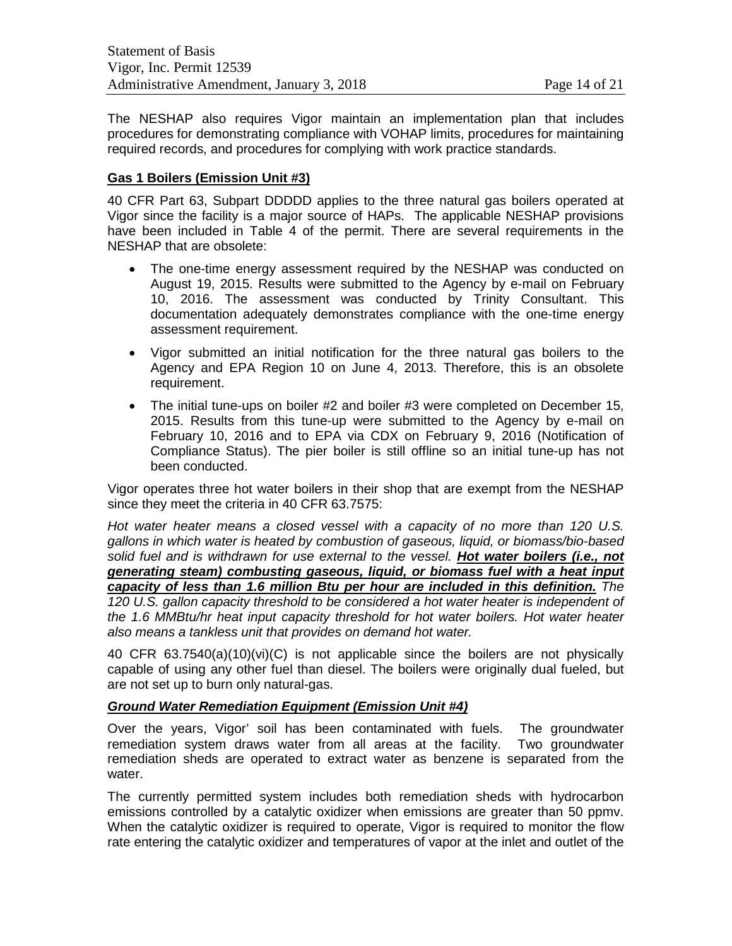The NESHAP also requires Vigor maintain an implementation plan that includes procedures for demonstrating compliance with VOHAP limits, procedures for maintaining required records, and procedures for complying with work practice standards.

#### **Gas 1 Boilers (Emission Unit #3)**

40 CFR Part 63, Subpart DDDDD applies to the three natural gas boilers operated at Vigor since the facility is a major source of HAPs. The applicable NESHAP provisions have been included in Table 4 of the permit. There are several requirements in the NESHAP that are obsolete:

- The one-time energy assessment required by the NESHAP was conducted on August 19, 2015. Results were submitted to the Agency by e-mail on February 10, 2016. The assessment was conducted by Trinity Consultant. This documentation adequately demonstrates compliance with the one-time energy assessment requirement.
- Vigor submitted an initial notification for the three natural gas boilers to the Agency and EPA Region 10 on June 4, 2013. Therefore, this is an obsolete requirement.
- The initial tune-ups on boiler #2 and boiler #3 were completed on December 15, 2015. Results from this tune-up were submitted to the Agency by e-mail on February 10, 2016 and to EPA via CDX on February 9, 2016 (Notification of Compliance Status). The pier boiler is still offline so an initial tune-up has not been conducted.

Vigor operates three hot water boilers in their shop that are exempt from the NESHAP since they meet the criteria in 40 CFR 63.7575:

*Hot water heater means a closed vessel with a capacity of no more than 120 U.S. gallons in which water is heated by combustion of gaseous, liquid, or biomass/bio-based solid fuel and is withdrawn for use external to the vessel. Hot water boilers (i.e., not generating steam) combusting gaseous, liquid, or biomass fuel with a heat input capacity of less than 1.6 million Btu per hour are included in this definition. The 120 U.S. gallon capacity threshold to be considered a hot water heater is independent of the 1.6 MMBtu/hr heat input capacity threshold for hot water boilers. Hot water heater also means a tankless unit that provides on demand hot water.*

40 CFR 63.7540(a)(10)(vi)(C) is not applicable since the boilers are not physically capable of using any other fuel than diesel. The boilers were originally dual fueled, but are not set up to burn only natural-gas.

#### *Ground Water Remediation Equipment (Emission Unit #4)*

Over the years, Vigor' soil has been contaminated with fuels. The groundwater remediation system draws water from all areas at the facility. Two groundwater remediation sheds are operated to extract water as benzene is separated from the water.

The currently permitted system includes both remediation sheds with hydrocarbon emissions controlled by a catalytic oxidizer when emissions are greater than 50 ppmv. When the catalytic oxidizer is required to operate, Vigor is required to monitor the flow rate entering the catalytic oxidizer and temperatures of vapor at the inlet and outlet of the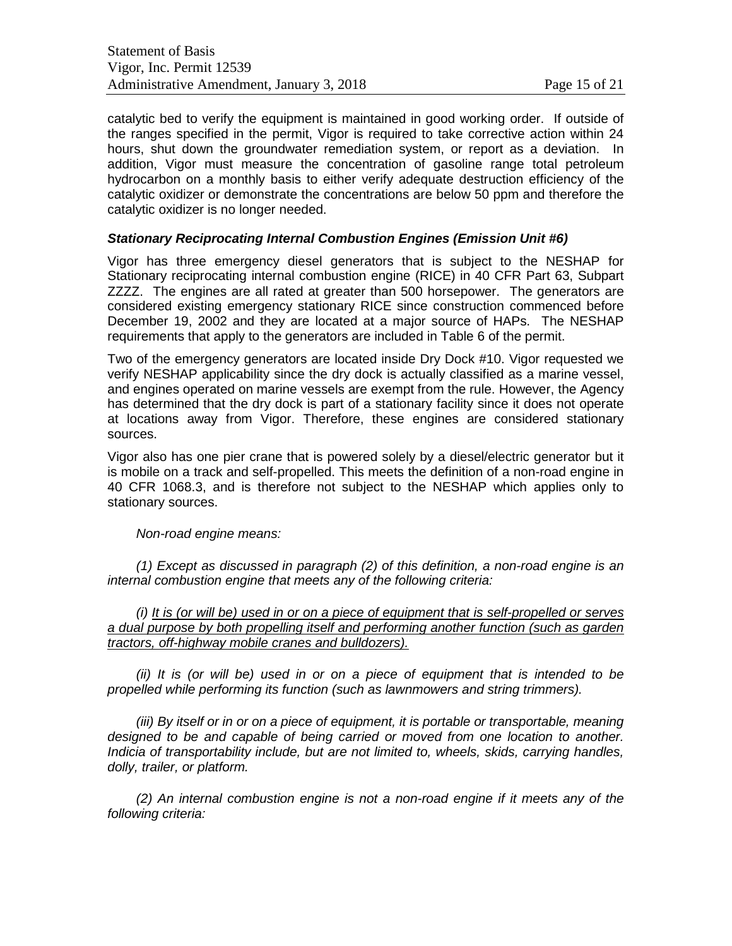catalytic bed to verify the equipment is maintained in good working order. If outside of the ranges specified in the permit, Vigor is required to take corrective action within 24 hours, shut down the groundwater remediation system, or report as a deviation. In addition, Vigor must measure the concentration of gasoline range total petroleum hydrocarbon on a monthly basis to either verify adequate destruction efficiency of the catalytic oxidizer or demonstrate the concentrations are below 50 ppm and therefore the catalytic oxidizer is no longer needed.

#### *Stationary Reciprocating Internal Combustion Engines (Emission Unit #6)*

Vigor has three emergency diesel generators that is subject to the NESHAP for Stationary reciprocating internal combustion engine (RICE) in 40 CFR Part 63, Subpart ZZZZ. The engines are all rated at greater than 500 horsepower. The generators are considered existing emergency stationary RICE since construction commenced before December 19, 2002 and they are located at a major source of HAPs. The NESHAP requirements that apply to the generators are included in Table 6 of the permit.

Two of the emergency generators are located inside Dry Dock #10. Vigor requested we verify NESHAP applicability since the dry dock is actually classified as a marine vessel, and engines operated on marine vessels are exempt from the rule. However, the Agency has determined that the dry dock is part of a stationary facility since it does not operate at locations away from Vigor. Therefore, these engines are considered stationary sources.

Vigor also has one pier crane that is powered solely by a diesel/electric generator but it is mobile on a track and self-propelled. This meets the definition of a non-road engine in 40 CFR 1068.3, and is therefore not subject to the NESHAP which applies only to stationary sources.

#### *Non-road engine means:*

*(1) Except as discussed in paragraph (2) of this definition, a non-road engine is an internal combustion engine that meets any of the following criteria:*

*(i) It is (or will be) used in or on a piece of equipment that is self-propelled or serves a dual purpose by both propelling itself and performing another function (such as garden tractors, off-highway mobile cranes and bulldozers).*

*(ii) It is (or will be) used in or on a piece of equipment that is intended to be propelled while performing its function (such as lawnmowers and string trimmers).*

*(iii) By itself or in or on a piece of equipment, it is portable or transportable, meaning designed to be and capable of being carried or moved from one location to another. Indicia of transportability include, but are not limited to, wheels, skids, carrying handles, dolly, trailer, or platform.*

*(2) An internal combustion engine is not a non-road engine if it meets any of the following criteria:*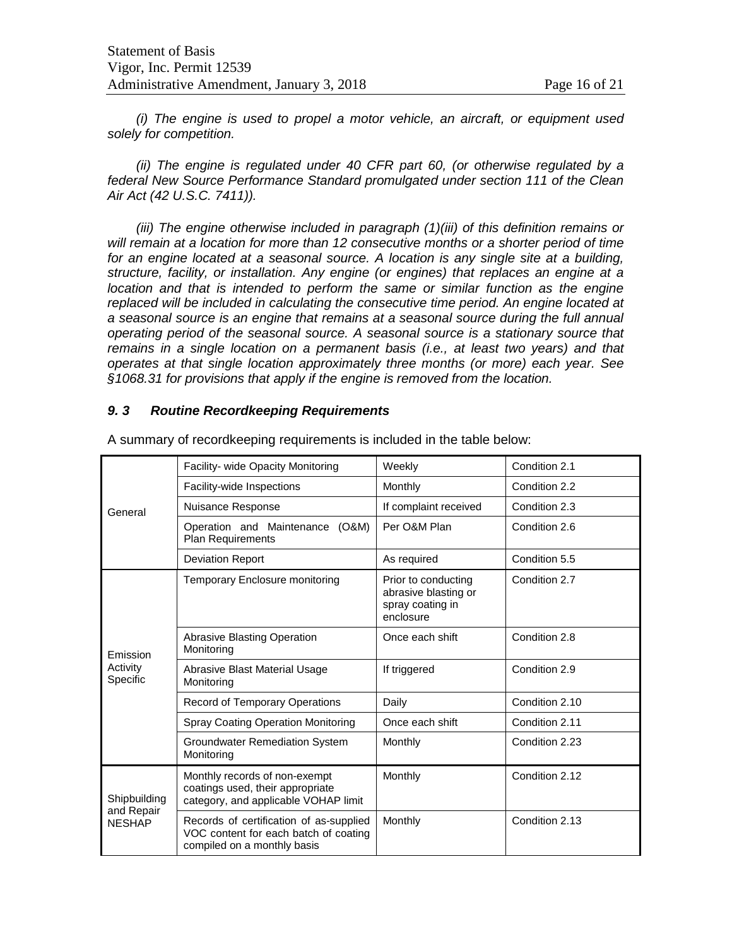*(i) The engine is used to propel a motor vehicle, an aircraft, or equipment used solely for competition.*

*(ii) The engine is regulated under 40 CFR part 60, (or otherwise regulated by a federal New Source Performance Standard promulgated under section 111 of the Clean Air Act (42 U.S.C. 7411)).*

*(iii) The engine otherwise included in paragraph (1)(iii) of this definition remains or will remain at a location for more than 12 consecutive months or a shorter period of time for an engine located at a seasonal source. A location is any single site at a building, structure, facility, or installation. Any engine (or engines) that replaces an engine at a location and that is intended to perform the same or similar function as the engine replaced will be included in calculating the consecutive time period. An engine located at a seasonal source is an engine that remains at a seasonal source during the full annual operating period of the seasonal source. A seasonal source is a stationary source that remains in a single location on a permanent basis (i.e., at least two years) and that operates at that single location approximately three months (or more) each year. See §1068.31 for provisions that apply if the engine is removed from the location.*

#### *9. 3 Routine Recordkeeping Requirements*

|                                             | Facility- wide Opacity Monitoring                                                                               | Weekly                                                                       | Condition 2.1  |
|---------------------------------------------|-----------------------------------------------------------------------------------------------------------------|------------------------------------------------------------------------------|----------------|
|                                             | Facility-wide Inspections                                                                                       | Monthly                                                                      | Condition 2.2  |
| General                                     | Nuisance Response                                                                                               | If complaint received                                                        | Condition 2.3  |
|                                             | Operation and Maintenance<br>(O&M)<br><b>Plan Requirements</b>                                                  | Per O&M Plan                                                                 | Condition 2.6  |
|                                             | <b>Deviation Report</b>                                                                                         | As required                                                                  | Condition 5.5  |
|                                             | <b>Temporary Enclosure monitoring</b>                                                                           | Prior to conducting<br>abrasive blasting or<br>spray coating in<br>enclosure | Condition 2.7  |
| Emission                                    | <b>Abrasive Blasting Operation</b><br>Monitoring                                                                | Once each shift                                                              | Condition 2.8  |
| Activity<br>Specific                        | Abrasive Blast Material Usage<br>Monitoring                                                                     | If triggered                                                                 | Condition 2.9  |
|                                             | Record of Temporary Operations                                                                                  | Daily                                                                        | Condition 2.10 |
|                                             | <b>Spray Coating Operation Monitoring</b>                                                                       | Once each shift                                                              | Condition 2.11 |
|                                             | <b>Groundwater Remediation System</b><br>Monitoring                                                             | Monthly                                                                      | Condition 2.23 |
| Shipbuilding<br>and Repair<br><b>NESHAP</b> | Monthly records of non-exempt<br>coatings used, their appropriate<br>category, and applicable VOHAP limit       | Monthly                                                                      | Condition 2.12 |
|                                             | Records of certification of as-supplied<br>VOC content for each batch of coating<br>compiled on a monthly basis | Monthly                                                                      | Condition 2.13 |

A summary of recordkeeping requirements is included in the table below: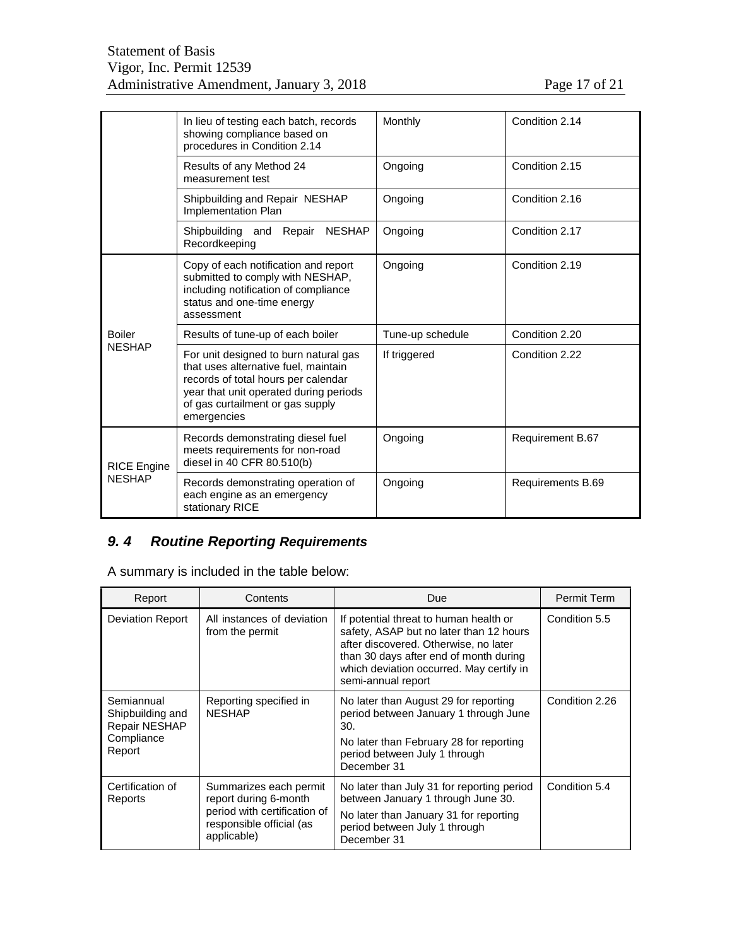| Page 17 of 21 |  |
|---------------|--|
|               |  |

|                    | In lieu of testing each batch, records<br>showing compliance based on<br>procedures in Condition 2.14                                                                                                             | Monthly          | Condition 2.14    |
|--------------------|-------------------------------------------------------------------------------------------------------------------------------------------------------------------------------------------------------------------|------------------|-------------------|
|                    | Results of any Method 24<br>measurement test                                                                                                                                                                      | Ongoing          | Condition 2.15    |
|                    | Shipbuilding and Repair NESHAP<br>Implementation Plan                                                                                                                                                             | Ongoing          | Condition 2.16    |
|                    | Repair<br><b>NESHAP</b><br>Shipbuilding and<br>Recordkeeping                                                                                                                                                      | Ongoing          | Condition 2.17    |
|                    | Copy of each notification and report<br>submitted to comply with NESHAP,<br>including notification of compliance<br>status and one-time energy<br>assessment                                                      | Ongoing          | Condition 2.19    |
| <b>Boiler</b>      | Results of tune-up of each boiler                                                                                                                                                                                 | Tune-up schedule | Condition 2.20    |
| <b>NESHAP</b>      | For unit designed to burn natural gas<br>that uses alternative fuel, maintain<br>records of total hours per calendar<br>year that unit operated during periods<br>of gas curtailment or gas supply<br>emergencies | If triggered     | Condition 2.22    |
| <b>RICE Engine</b> | Records demonstrating diesel fuel<br>meets requirements for non-road<br>diesel in 40 CFR 80.510(b)                                                                                                                | Ongoing          | Requirement B.67  |
| <b>NESHAP</b>      | Records demonstrating operation of<br>each engine as an emergency<br>stationary RICE                                                                                                                              | Ongoing          | Requirements B.69 |

# *9. 4 Routine Reporting Requirements*

A summary is included in the table below:

| Report                                                                  | Contents                                                                                                                   | <b>Due</b>                                                                                                                                                                                                                             | Permit Term    |
|-------------------------------------------------------------------------|----------------------------------------------------------------------------------------------------------------------------|----------------------------------------------------------------------------------------------------------------------------------------------------------------------------------------------------------------------------------------|----------------|
| <b>Deviation Report</b>                                                 | All instances of deviation<br>from the permit                                                                              | If potential threat to human health or<br>safety, ASAP but no later than 12 hours<br>after discovered. Otherwise, no later<br>than 30 days after end of month during<br>which deviation occurred. May certify in<br>semi-annual report | Condition 5.5  |
| Semiannual<br>Shipbuilding and<br>Repair NESHAP<br>Compliance<br>Report | Reporting specified in<br><b>NESHAP</b>                                                                                    | No later than August 29 for reporting<br>period between January 1 through June<br>30.<br>No later than February 28 for reporting<br>period between July 1 through<br>December 31                                                       | Condition 2.26 |
| Certification of<br>Reports                                             | Summarizes each permit<br>report during 6-month<br>period with certification of<br>responsible official (as<br>applicable) | No later than July 31 for reporting period<br>between January 1 through June 30.<br>No later than January 31 for reporting<br>period between July 1 through<br>December 31                                                             | Condition 5.4  |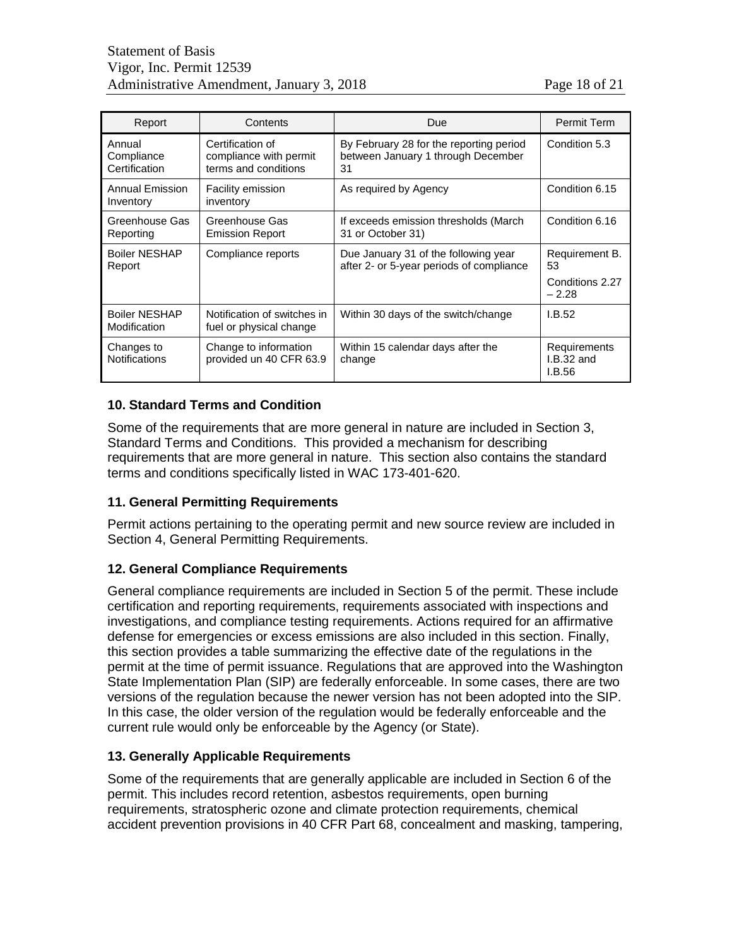| Report                                | Contents                                                           | Due                                                                                 | Permit Term                                        |
|---------------------------------------|--------------------------------------------------------------------|-------------------------------------------------------------------------------------|----------------------------------------------------|
| Annual<br>Compliance<br>Certification | Certification of<br>compliance with permit<br>terms and conditions | By February 28 for the reporting period<br>between January 1 through December<br>31 | Condition 5.3                                      |
| Annual Emission<br>Inventory          | Facility emission<br>inventory                                     | As required by Agency                                                               | Condition 6.15                                     |
| Greenhouse Gas<br>Reporting           | Greenhouse Gas<br><b>Emission Report</b>                           | If exceeds emission thresholds (March)<br>31 or October 31)                         | Condition 6.16                                     |
| <b>Boiler NESHAP</b><br>Report        | Compliance reports                                                 | Due January 31 of the following year<br>after 2- or 5-year periods of compliance    | Requirement B.<br>53<br>Conditions 2.27<br>$-2.28$ |
| <b>Boiler NESHAP</b><br>Modification  | Notification of switches in<br>fuel or physical change             | Within 30 days of the switch/change                                                 | I.B.52                                             |
| Changes to<br><b>Notifications</b>    | Change to information<br>provided un 40 CFR 63.9                   | Within 15 calendar days after the<br>change                                         | Requirements<br>$I.B.32$ and<br>I.B.56             |

# **10. Standard Terms and Condition**

Some of the requirements that are more general in nature are included in Section 3, Standard Terms and Conditions. This provided a mechanism for describing requirements that are more general in nature. This section also contains the standard terms and conditions specifically listed in WAC 173-401-620.

# **11. General Permitting Requirements**

Permit actions pertaining to the operating permit and new source review are included in Section 4, General Permitting Requirements.

#### **12. General Compliance Requirements**

General compliance requirements are included in Section 5 of the permit. These include certification and reporting requirements, requirements associated with inspections and investigations, and compliance testing requirements. Actions required for an affirmative defense for emergencies or excess emissions are also included in this section. Finally, this section provides a table summarizing the effective date of the regulations in the permit at the time of permit issuance. Regulations that are approved into the Washington State Implementation Plan (SIP) are federally enforceable. In some cases, there are two versions of the regulation because the newer version has not been adopted into the SIP. In this case, the older version of the regulation would be federally enforceable and the current rule would only be enforceable by the Agency (or State).

#### **13. Generally Applicable Requirements**

Some of the requirements that are generally applicable are included in Section 6 of the permit. This includes record retention, asbestos requirements, open burning requirements, stratospheric ozone and climate protection requirements, chemical accident prevention provisions in 40 CFR Part 68, concealment and masking, tampering,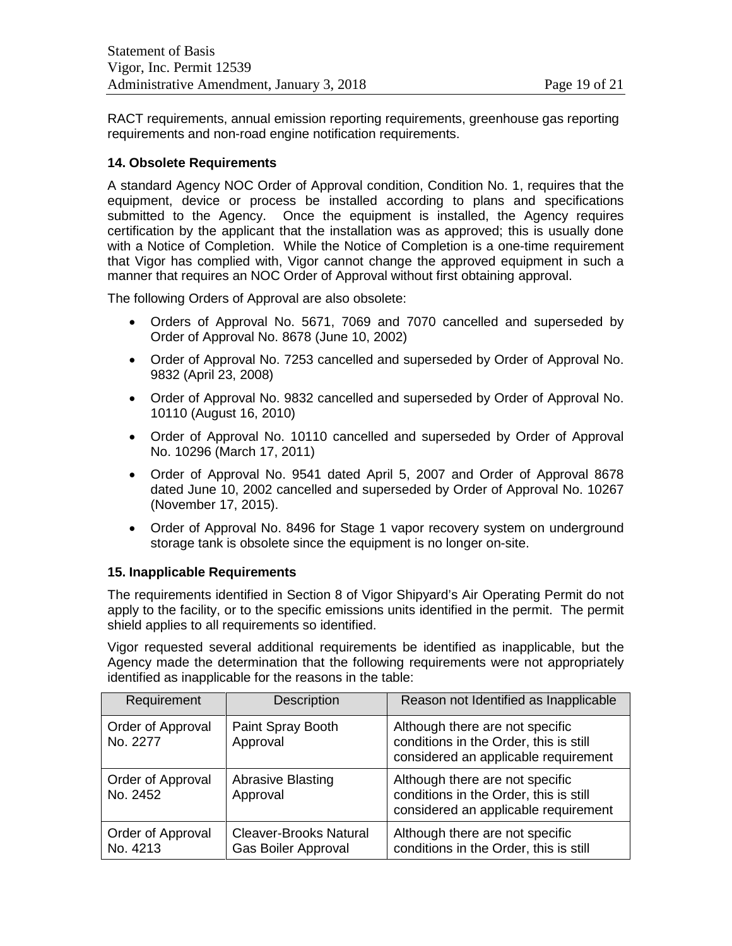RACT requirements, annual emission reporting requirements, greenhouse gas reporting requirements and non-road engine notification requirements.

#### **14. Obsolete Requirements**

A standard Agency NOC Order of Approval condition, Condition No. 1, requires that the equipment, device or process be installed according to plans and specifications submitted to the Agency. Once the equipment is installed, the Agency requires certification by the applicant that the installation was as approved; this is usually done with a Notice of Completion. While the Notice of Completion is a one-time requirement that Vigor has complied with, Vigor cannot change the approved equipment in such a manner that requires an NOC Order of Approval without first obtaining approval.

The following Orders of Approval are also obsolete:

- Orders of Approval No. 5671, 7069 and 7070 cancelled and superseded by Order of Approval No. 8678 (June 10, 2002)
- Order of Approval No. 7253 cancelled and superseded by Order of Approval No. 9832 (April 23, 2008)
- Order of Approval No. 9832 cancelled and superseded by Order of Approval No. 10110 (August 16, 2010)
- Order of Approval No. 10110 cancelled and superseded by Order of Approval No. 10296 (March 17, 2011)
- Order of Approval No. 9541 dated April 5, 2007 and Order of Approval 8678 dated June 10, 2002 cancelled and superseded by Order of Approval No. 10267 (November 17, 2015).
- Order of Approval No. 8496 for Stage 1 vapor recovery system on underground storage tank is obsolete since the equipment is no longer on-site.

#### **15. Inapplicable Requirements**

The requirements identified in Section 8 of Vigor Shipyard's Air Operating Permit do not apply to the facility, or to the specific emissions units identified in the permit. The permit shield applies to all requirements so identified.

Vigor requested several additional requirements be identified as inapplicable, but the Agency made the determination that the following requirements were not appropriately identified as inapplicable for the reasons in the table:

| Requirement                   | Description                                                 | Reason not Identified as Inapplicable                                                                             |
|-------------------------------|-------------------------------------------------------------|-------------------------------------------------------------------------------------------------------------------|
| Order of Approval<br>No. 2277 | Paint Spray Booth<br>Approval                               | Although there are not specific<br>conditions in the Order, this is still<br>considered an applicable requirement |
| Order of Approval<br>No. 2452 | <b>Abrasive Blasting</b><br>Approval                        | Although there are not specific<br>conditions in the Order, this is still<br>considered an applicable requirement |
| Order of Approval<br>No. 4213 | <b>Cleaver-Brooks Natural</b><br><b>Gas Boiler Approval</b> | Although there are not specific<br>conditions in the Order, this is still                                         |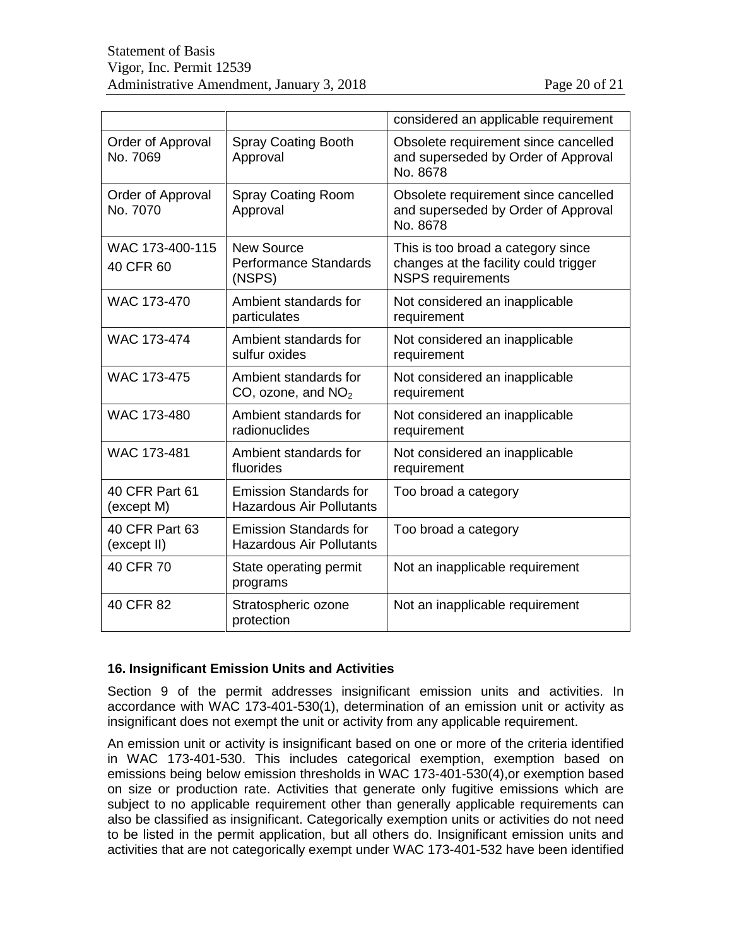|                               |                                                                  | considered an applicable requirement                                                                    |
|-------------------------------|------------------------------------------------------------------|---------------------------------------------------------------------------------------------------------|
| Order of Approval<br>No. 7069 | <b>Spray Coating Booth</b><br>Approval                           | Obsolete requirement since cancelled<br>and superseded by Order of Approval<br>No. 8678                 |
| Order of Approval<br>No. 7070 | <b>Spray Coating Room</b><br>Approval                            | Obsolete requirement since cancelled<br>and superseded by Order of Approval<br>No. 8678                 |
| WAC 173-400-115<br>40 CFR 60  | <b>New Source</b><br><b>Performance Standards</b><br>(NSPS)      | This is too broad a category since<br>changes at the facility could trigger<br><b>NSPS</b> requirements |
| WAC 173-470                   | Ambient standards for<br>particulates                            | Not considered an inapplicable<br>requirement                                                           |
| <b>WAC 173-474</b>            | Ambient standards for<br>sulfur oxides                           | Not considered an inapplicable<br>requirement                                                           |
| WAC 173-475                   | Ambient standards for<br>CO, ozone, and $NO2$                    | Not considered an inapplicable<br>requirement                                                           |
| WAC 173-480                   | Ambient standards for<br>radionuclides                           | Not considered an inapplicable<br>requirement                                                           |
| WAC 173-481                   | Ambient standards for<br>fluorides                               | Not considered an inapplicable<br>requirement                                                           |
| 40 CFR Part 61<br>(except M)  | <b>Emission Standards for</b><br><b>Hazardous Air Pollutants</b> | Too broad a category                                                                                    |
| 40 CFR Part 63<br>(except II) | <b>Emission Standards for</b><br><b>Hazardous Air Pollutants</b> | Too broad a category                                                                                    |
| 40 CFR 70                     | State operating permit<br>programs                               | Not an inapplicable requirement                                                                         |
| 40 CFR 82                     | Stratospheric ozone<br>protection                                | Not an inapplicable requirement                                                                         |

#### **16. Insignificant Emission Units and Activities**

Section 9 of the permit addresses insignificant emission units and activities. In accordance with WAC 173-401-530(1), determination of an emission unit or activity as insignificant does not exempt the unit or activity from any applicable requirement.

An emission unit or activity is insignificant based on one or more of the criteria identified in WAC 173-401-530. This includes categorical exemption, exemption based on emissions being below emission thresholds in WAC 173-401-530(4),or exemption based on size or production rate. Activities that generate only fugitive emissions which are subject to no applicable requirement other than generally applicable requirements can also be classified as insignificant. Categorically exemption units or activities do not need to be listed in the permit application, but all others do. Insignificant emission units and activities that are not categorically exempt under WAC 173-401-532 have been identified